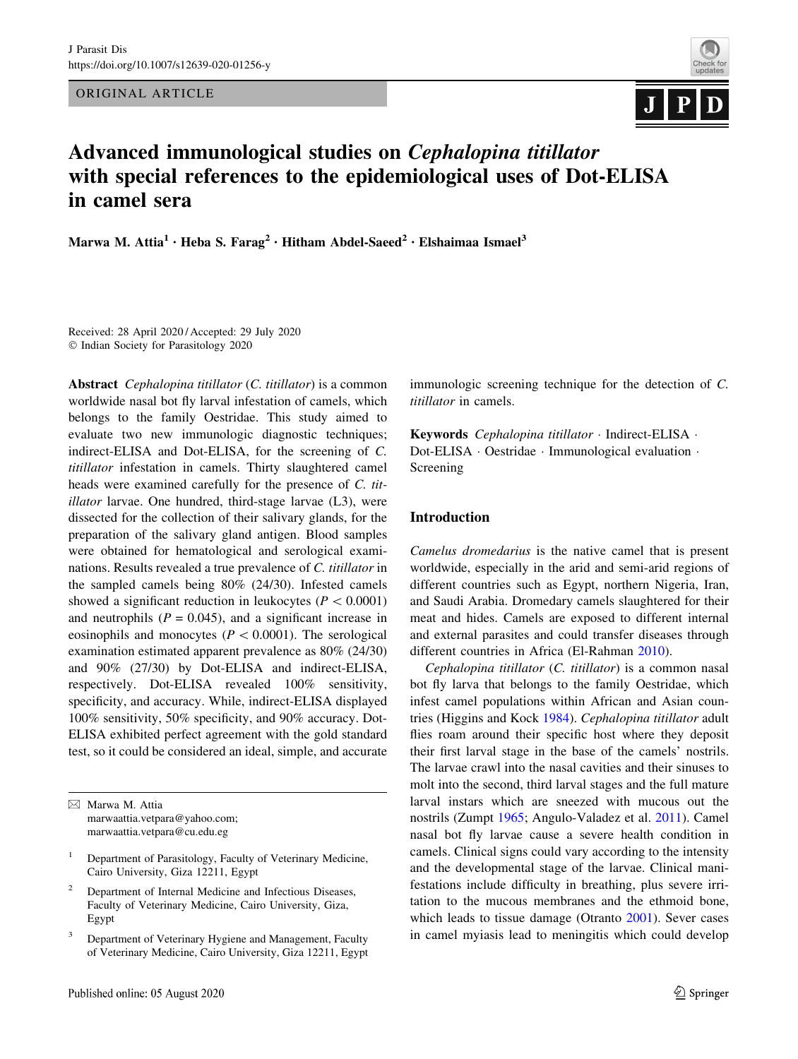ORIGINAL ARTICLE



# Advanced immunological studies on Cephalopina titillator with special references to the epidemiological uses of Dot-ELISA in camel sera

Marwa M. Attia<sup>1</sup> · Heba S. Farag<sup>2</sup> · Hitham Abdel-Saeed<sup>2</sup> · Elshaimaa Ismael<sup>3</sup>

Received: 28 April 2020 / Accepted: 29 July 2020 - Indian Society for Parasitology 2020

Abstract Cephalopina titillator (C. titillator) is a common worldwide nasal bot fly larval infestation of camels, which belongs to the family Oestridae. This study aimed to evaluate two new immunologic diagnostic techniques; indirect-ELISA and Dot-ELISA, for the screening of C. titillator infestation in camels. Thirty slaughtered camel heads were examined carefully for the presence of C. titillator larvae. One hundred, third-stage larvae (L3), were dissected for the collection of their salivary glands, for the preparation of the salivary gland antigen. Blood samples were obtained for hematological and serological examinations. Results revealed a true prevalence of C. titillator in the sampled camels being 80% (24/30). Infested camels showed a significant reduction in leukocytes ( $P < 0.0001$ ) and neutrophils ( $P = 0.045$ ), and a significant increase in eosinophils and monocytes ( $P < 0.0001$ ). The serological examination estimated apparent prevalence as 80% (24/30) and 90% (27/30) by Dot-ELISA and indirect-ELISA, respectively. Dot-ELISA revealed 100% sensitivity, specificity, and accuracy. While, indirect-ELISA displayed 100% sensitivity, 50% specificity, and 90% accuracy. Dot-ELISA exhibited perfect agreement with the gold standard test, so it could be considered an ideal, simple, and accurate

& Marwa M. Attia marwaattia.vetpara@yahoo.com; marwaattia.vetpara@cu.edu.eg

- <sup>2</sup> Department of Internal Medicine and Infectious Diseases, Faculty of Veterinary Medicine, Cairo University, Giza, Egypt
- <sup>3</sup> Department of Veterinary Hygiene and Management, Faculty of Veterinary Medicine, Cairo University, Giza 12211, Egypt

immunologic screening technique for the detection of C. titillator in camels.

Keywords Cephalopina titillator · Indirect-ELISA · Dot-ELISA · Oestridae · Immunological evaluation · Screening

## Introduction

Camelus dromedarius is the native camel that is present worldwide, especially in the arid and semi-arid regions of different countries such as Egypt, northern Nigeria, Iran, and Saudi Arabia. Dromedary camels slaughtered for their meat and hides. Camels are exposed to different internal and external parasites and could transfer diseases through different countries in Africa (El-Rahman [2010](#page-7-0)).

Cephalopina titillator (C. titillator) is a common nasal bot fly larva that belongs to the family Oestridae, which infest camel populations within African and Asian countries (Higgins and Kock [1984](#page-7-0)). Cephalopina titillator adult flies roam around their specific host where they deposit their first larval stage in the base of the camels' nostrils. The larvae crawl into the nasal cavities and their sinuses to molt into the second, third larval stages and the full mature larval instars which are sneezed with mucous out the nostrils (Zumpt [1965;](#page-8-0) Angulo-Valadez et al. [2011](#page-7-0)). Camel nasal bot fly larvae cause a severe health condition in camels. Clinical signs could vary according to the intensity and the developmental stage of the larvae. Clinical manifestations include difficulty in breathing, plus severe irritation to the mucous membranes and the ethmoid bone, which leads to tissue damage (Otranto [2001\)](#page-7-0). Sever cases in camel myiasis lead to meningitis which could develop

<sup>&</sup>lt;sup>1</sup> Department of Parasitology, Faculty of Veterinary Medicine, Cairo University, Giza 12211, Egypt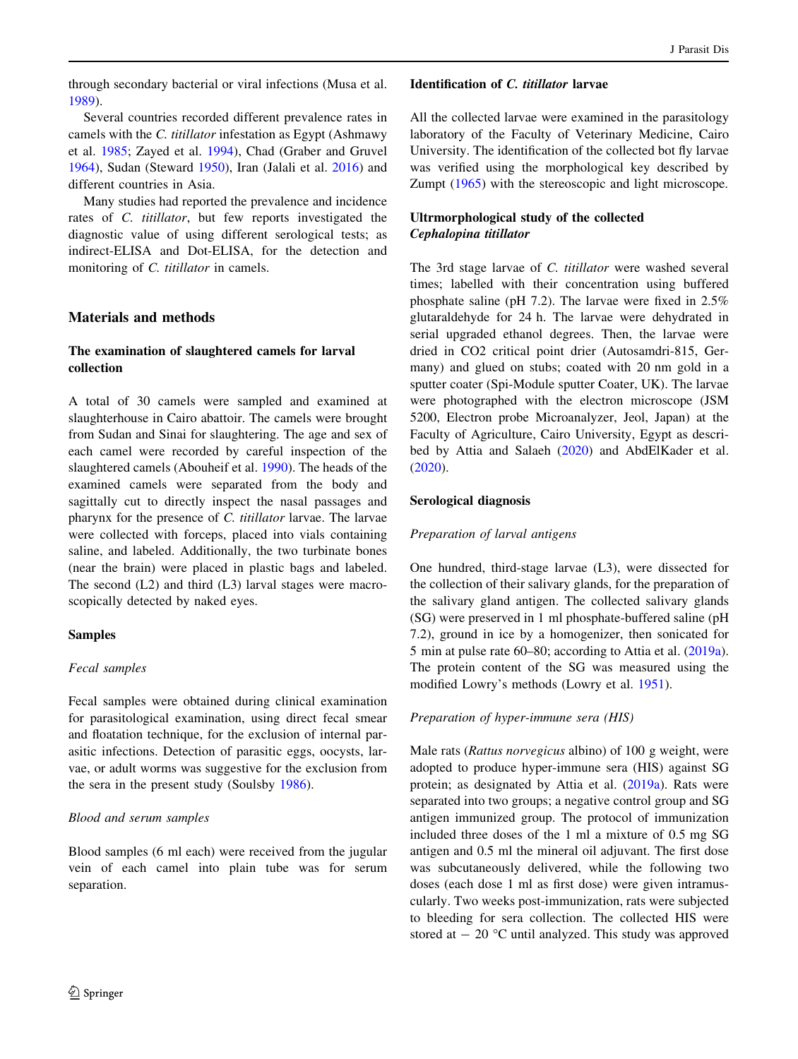through secondary bacterial or viral infections (Musa et al. [1989\)](#page-7-0).

Several countries recorded different prevalence rates in camels with the C. titillator infestation as Egypt (Ashmawy et al. [1985](#page-7-0); Zayed et al. [1994\)](#page-8-0), Chad (Graber and Gruvel [1964\)](#page-7-0), Sudan (Steward [1950\)](#page-7-0), Iran (Jalali et al. [2016\)](#page-7-0) and different countries in Asia.

Many studies had reported the prevalence and incidence rates of C. titillator, but few reports investigated the diagnostic value of using different serological tests; as indirect-ELISA and Dot-ELISA, for the detection and monitoring of C. titillator in camels.

## Materials and methods

# The examination of slaughtered camels for larval collection

A total of 30 camels were sampled and examined at slaughterhouse in Cairo abattoir. The camels were brought from Sudan and Sinai for slaughtering. The age and sex of each camel were recorded by careful inspection of the slaughtered camels (Abouheif et al. [1990\)](#page-7-0). The heads of the examined camels were separated from the body and sagittally cut to directly inspect the nasal passages and pharynx for the presence of C. titillator larvae. The larvae were collected with forceps, placed into vials containing saline, and labeled. Additionally, the two turbinate bones (near the brain) were placed in plastic bags and labeled. The second (L2) and third (L3) larval stages were macroscopically detected by naked eyes.

### Samples

# Fecal samples

Fecal samples were obtained during clinical examination for parasitological examination, using direct fecal smear and floatation technique, for the exclusion of internal parasitic infections. Detection of parasitic eggs, oocysts, larvae, or adult worms was suggestive for the exclusion from the sera in the present study (Soulsby [1986\)](#page-7-0).

# Blood and serum samples

Blood samples (6 ml each) were received from the jugular vein of each camel into plain tube was for serum separation.

### Identification of C. titillator larvae

All the collected larvae were examined in the parasitology laboratory of the Faculty of Veterinary Medicine, Cairo University. The identification of the collected bot fly larvae was verified using the morphological key described by Zumpt ([1965](#page-8-0)) with the stereoscopic and light microscope.

# Ultrmorphological study of the collected Cephalopina titillator

The 3rd stage larvae of C. titillator were washed several times; labelled with their concentration using buffered phosphate saline (pH 7.2). The larvae were fixed in 2.5% glutaraldehyde for 24 h. The larvae were dehydrated in serial upgraded ethanol degrees. Then, the larvae were dried in CO2 critical point drier (Autosamdri-815, Germany) and glued on stubs; coated with 20 nm gold in a sputter coater (Spi-Module sputter Coater, UK). The larvae were photographed with the electron microscope (JSM 5200, Electron probe Microanalyzer, Jeol, Japan) at the Faculty of Agriculture, Cairo University, Egypt as described by Attia and Salaeh [\(2020](#page-7-0)) and AbdElKader et al. [\(2020](#page-7-0)).

## Serological diagnosis

## Preparation of larval antigens

One hundred, third-stage larvae (L3), were dissected for the collection of their salivary glands, for the preparation of the salivary gland antigen. The collected salivary glands (SG) were preserved in 1 ml phosphate-buffered saline (pH 7.2), ground in ice by a homogenizer, then sonicated for 5 min at pulse rate 60–80; according to Attia et al. [\(2019a](#page-7-0)). The protein content of the SG was measured using the modified Lowry's methods (Lowry et al. [1951](#page-7-0)).

### Preparation of hyper-immune sera (HIS)

Male rats (Rattus norvegicus albino) of 100 g weight, were adopted to produce hyper-immune sera (HIS) against SG protein; as designated by Attia et al. [\(2019a\)](#page-7-0). Rats were separated into two groups; a negative control group and SG antigen immunized group. The protocol of immunization included three doses of the 1 ml a mixture of 0.5 mg SG antigen and 0.5 ml the mineral oil adjuvant. The first dose was subcutaneously delivered, while the following two doses (each dose 1 ml as first dose) were given intramuscularly. Two weeks post-immunization, rats were subjected to bleeding for sera collection. The collected HIS were stored at  $-20$  °C until analyzed. This study was approved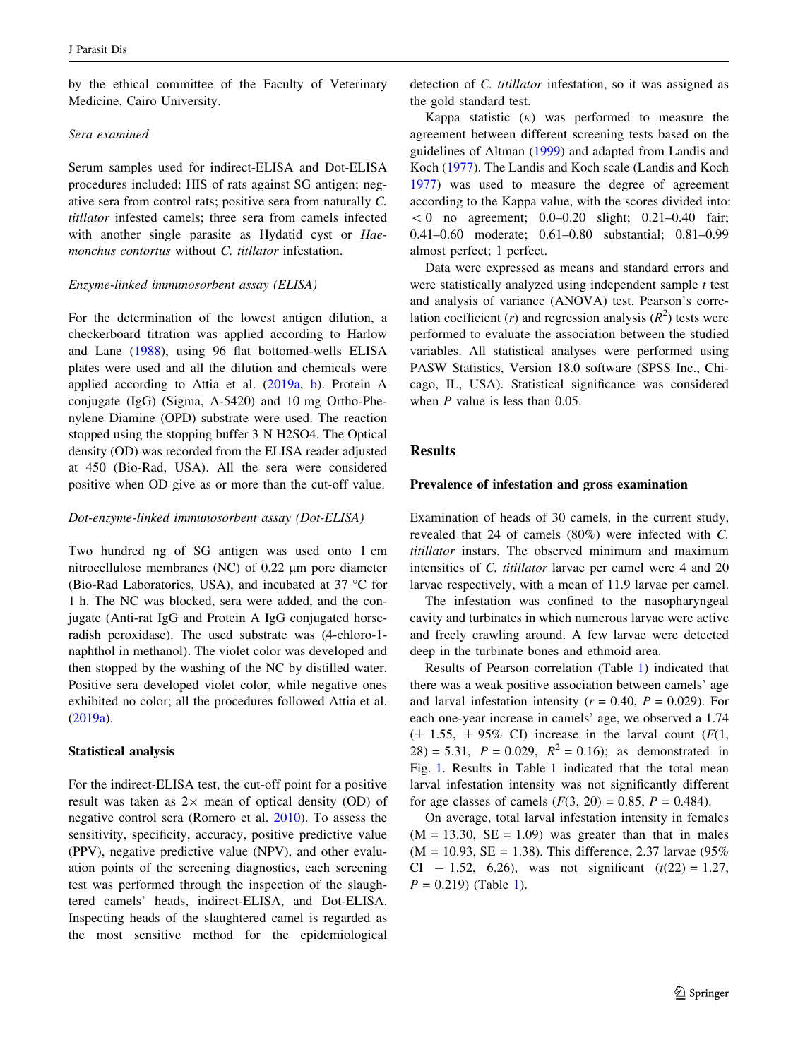by the ethical committee of the Faculty of Veterinary Medicine, Cairo University.

#### Sera examined

Serum samples used for indirect-ELISA and Dot-ELISA procedures included: HIS of rats against SG antigen; negative sera from control rats; positive sera from naturally C. titllator infested camels; three sera from camels infected with another single parasite as Hydatid cyst or Haemonchus contortus without C. titllator infestation.

#### Enzyme-linked immunosorbent assay (ELISA)

For the determination of the lowest antigen dilution, a checkerboard titration was applied according to Harlow and Lane [\(1988](#page-7-0)), using 96 flat bottomed-wells ELISA plates were used and all the dilution and chemicals were applied according to Attia et al. ([2019a](#page-7-0), [b\)](#page-7-0). Protein A conjugate (IgG) (Sigma, A-5420) and 10 mg Ortho-Phenylene Diamine (OPD) substrate were used. The reaction stopped using the stopping buffer 3 N H2SO4. The Optical density (OD) was recorded from the ELISA reader adjusted at 450 (Bio-Rad, USA). All the sera were considered positive when OD give as or more than the cut-off value.

#### Dot-enzyme-linked immunosorbent assay (Dot-ELISA)

Two hundred ng of SG antigen was used onto 1 cm nitrocellulose membranes (NC) of  $0.22 \mu m$  pore diameter (Bio-Rad Laboratories, USA), and incubated at 37  $^{\circ}$ C for 1 h. The NC was blocked, sera were added, and the conjugate (Anti-rat IgG and Protein A IgG conjugated horseradish peroxidase). The used substrate was (4-chloro-1 naphthol in methanol). The violet color was developed and then stopped by the washing of the NC by distilled water. Positive sera developed violet color, while negative ones exhibited no color; all the procedures followed Attia et al. [\(2019a\)](#page-7-0).

#### Statistical analysis

For the indirect-ELISA test, the cut-off point for a positive result was taken as  $2 \times$  mean of optical density (OD) of negative control sera (Romero et al. [2010](#page-7-0)). To assess the sensitivity, specificity, accuracy, positive predictive value (PPV), negative predictive value (NPV), and other evaluation points of the screening diagnostics, each screening test was performed through the inspection of the slaughtered camels' heads, indirect-ELISA, and Dot-ELISA. Inspecting heads of the slaughtered camel is regarded as the most sensitive method for the epidemiological detection of C. titillator infestation, so it was assigned as the gold standard test.

Kappa statistic  $(k)$  was performed to measure the agreement between different screening tests based on the guidelines of Altman [\(1999](#page-7-0)) and adapted from Landis and Koch ([1977](#page-7-0)). The Landis and Koch scale (Landis and Koch [1977](#page-7-0)) was used to measure the degree of agreement according to the Kappa value, with the scores divided into:  $< 0$  no agreement; 0.0–0.20 slight; 0.21–0.40 fair; 0.41–0.60 moderate; 0.61–0.80 substantial; 0.81–0.99 almost perfect; 1 perfect.

Data were expressed as means and standard errors and were statistically analyzed using independent sample  $t$  test and analysis of variance (ANOVA) test. Pearson's correlation coefficient (*r*) and regression analysis ( $R^2$ ) tests were performed to evaluate the association between the studied variables. All statistical analyses were performed using PASW Statistics, Version 18.0 software (SPSS Inc., Chicago, IL, USA). Statistical significance was considered when *P* value is less than 0.05.

### Results

#### Prevalence of infestation and gross examination

Examination of heads of 30 camels, in the current study, revealed that 24 of camels (80%) were infected with C. titillator instars. The observed minimum and maximum intensities of C. titillator larvae per camel were 4 and 20 larvae respectively, with a mean of 11.9 larvae per camel.

The infestation was confined to the nasopharyngeal cavity and turbinates in which numerous larvae were active and freely crawling around. A few larvae were detected deep in the turbinate bones and ethmoid area.

Results of Pearson correlation (Table [1\)](#page-3-0) indicated that there was a weak positive association between camels' age and larval infestation intensity ( $r = 0.40$ ,  $P = 0.029$ ). For each one-year increase in camels' age, we observed a 1.74  $(\pm 1.55, \pm 95\% \text{ CI})$  increase in the larval count  $(F(1,$ 28) = 5.31,  $P = 0.029$ ,  $R^2 = 0.16$ ; as demonstrated in Fig. [1](#page-3-0). Results in Table [1](#page-3-0) indicated that the total mean larval infestation intensity was not significantly different for age classes of camels  $(F(3, 20) = 0.85, P = 0.484)$ .

On average, total larval infestation intensity in females  $(M = 13.30, SE = 1.09)$  was greater than that in males  $(M = 10.93, SE = 1.38)$ . This difference, 2.37 larvae (95%) CI - 1.52, 6.26), was not significant  $(t(22) = 1.27$ ,  $P = 0.219$  $P = 0.219$  $P = 0.219$  (Table 1).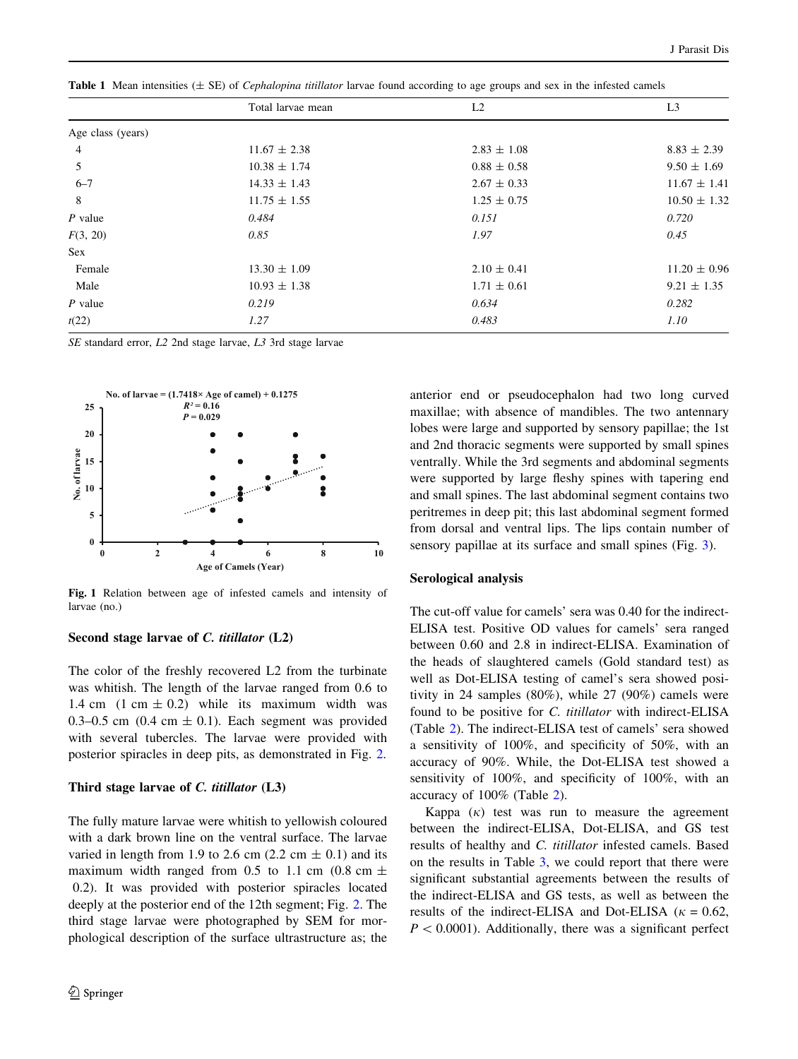<span id="page-3-0"></span>**Table 1** Mean intensities  $(\pm SE)$  of *Cephalopina titillator* larvae found according to age groups and sex in the infested camels

|                   | Total larvae mean | L2              | L <sub>3</sub>   |  |
|-------------------|-------------------|-----------------|------------------|--|
| Age class (years) |                   |                 |                  |  |
| 4                 | $11.67 \pm 2.38$  | $2.83 \pm 1.08$ | $8.83 \pm 2.39$  |  |
| 5                 | $10.38 \pm 1.74$  | $0.88 \pm 0.58$ | $9.50 \pm 1.69$  |  |
| $6 - 7$           | $14.33 \pm 1.43$  | $2.67 \pm 0.33$ | $11.67 \pm 1.41$ |  |
| 8                 | $11.75 \pm 1.55$  | $1.25 \pm 0.75$ | $10.50 \pm 1.32$ |  |
| $P$ value         | 0.484             | 0.151           | 0.720            |  |
| F(3, 20)          | 0.85              | 1.97            | 0.45             |  |
| Sex               |                   |                 |                  |  |
| Female            | $13.30 \pm 1.09$  | $2.10 \pm 0.41$ | $11.20 \pm 0.96$ |  |
| Male              | $10.93 \pm 1.38$  | $1.71 \pm 0.61$ | $9.21 \pm 1.35$  |  |
| $P$ value         | 0.219             | 0.634           | 0.282            |  |
| t(22)             | 1.27              | 0.483           | 1.10             |  |

SE standard error, L2 2nd stage larvae, L3 3rd stage larvae



Fig. 1 Relation between age of infested camels and intensity of larvae (no.)

#### Second stage larvae of C. titillator (L2)

The color of the freshly recovered L2 from the turbinate was whitish. The length of the larvae ranged from 0.6 to 1.4 cm  $(1 \text{ cm} \pm 0.2)$  while its maximum width was 0.3–0.5 cm (0.4 cm  $\pm$  0.1). Each segment was provided with several tubercles. The larvae were provided with posterior spiracles in deep pits, as demonstrated in Fig. [2](#page-4-0).

#### Third stage larvae of C. titillator (L3)

The fully mature larvae were whitish to yellowish coloured with a dark brown line on the ventral surface. The larvae varied in length from 1.9 to 2.6 cm (2.2 cm  $\pm$  0.1) and its maximum width ranged from 0.5 to 1.1 cm (0.8 cm  $\pm$ 0.2). It was provided with posterior spiracles located deeply at the posterior end of the 12th segment; Fig. [2.](#page-4-0) The third stage larvae were photographed by SEM for morphological description of the surface ultrastructure as; the

anterior end or pseudocephalon had two long curved maxillae; with absence of mandibles. The two antennary lobes were large and supported by sensory papillae; the 1st and 2nd thoracic segments were supported by small spines ventrally. While the 3rd segments and abdominal segments were supported by large fleshy spines with tapering end and small spines. The last abdominal segment contains two peritremes in deep pit; this last abdominal segment formed from dorsal and ventral lips. The lips contain number of sensory papillae at its surface and small spines (Fig. [3](#page-4-0)).

#### Serological analysis

The cut-off value for camels' sera was 0.40 for the indirect-ELISA test. Positive OD values for camels' sera ranged between 0.60 and 2.8 in indirect-ELISA. Examination of the heads of slaughtered camels (Gold standard test) as well as Dot-ELISA testing of camel's sera showed positivity in 24 samples (80%), while 27 (90%) camels were found to be positive for C. titillator with indirect-ELISA (Table [2\)](#page-5-0). The indirect-ELISA test of camels' sera showed a sensitivity of 100%, and specificity of 50%, with an accuracy of 90%. While, the Dot-ELISA test showed a sensitivity of 100%, and specificity of 100%, with an accuracy of 100% (Table [2\)](#page-5-0).

Kappa  $(k)$  test was run to measure the agreement between the indirect-ELISA, Dot-ELISA, and GS test results of healthy and C. titillator infested camels. Based on the results in Table [3,](#page-5-0) we could report that there were significant substantial agreements between the results of the indirect-ELISA and GS tests, as well as between the results of the indirect-ELISA and Dot-ELISA ( $\kappa = 0.62$ ,  $P < 0.0001$ ). Additionally, there was a significant perfect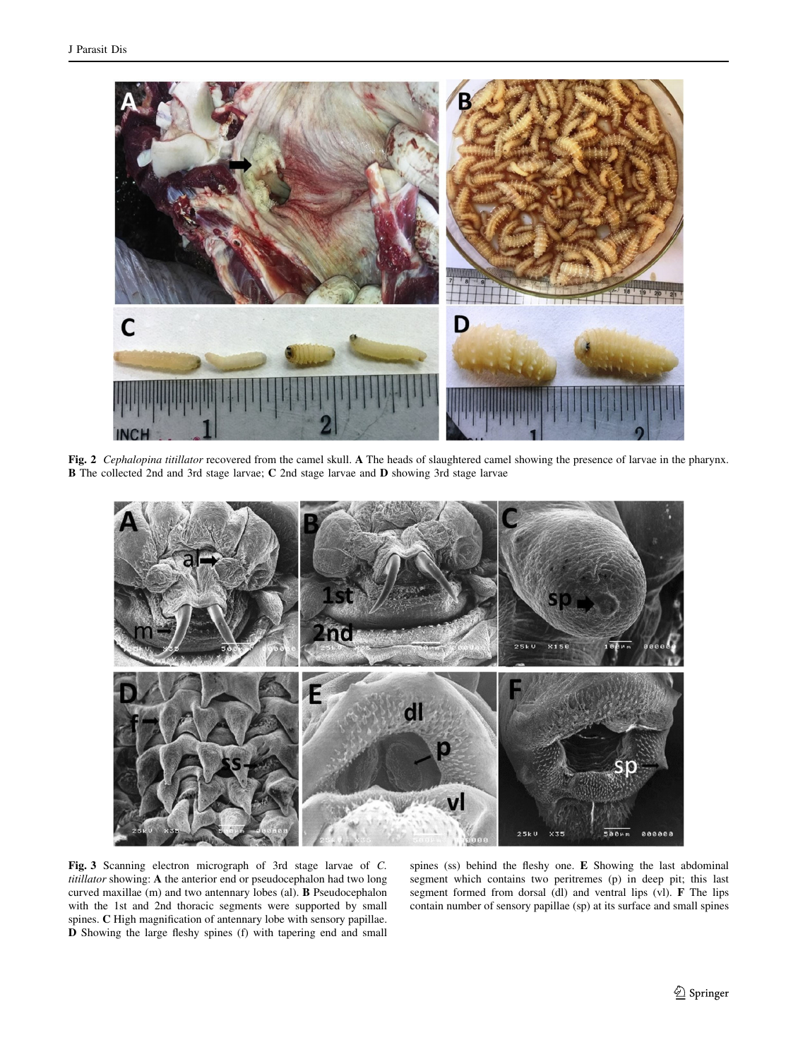<span id="page-4-0"></span>

Fig. 2 Cephalopina titillator recovered from the camel skull. A The heads of slaughtered camel showing the presence of larvae in the pharynx. B The collected 2nd and 3rd stage larvae; C 2nd stage larvae and D showing 3rd stage larvae



Fig. 3 Scanning electron micrograph of 3rd stage larvae of C. titillator showing: A the anterior end or pseudocephalon had two long curved maxillae (m) and two antennary lobes (al). B Pseudocephalon with the 1st and 2nd thoracic segments were supported by small spines. C High magnification of antennary lobe with sensory papillae. D Showing the large fleshy spines (f) with tapering end and small

spines (ss) behind the fleshy one. E Showing the last abdominal segment which contains two peritremes (p) in deep pit; this last segment formed from dorsal (dl) and ventral lips (vl). F The lips contain number of sensory papillae (sp) at its surface and small spines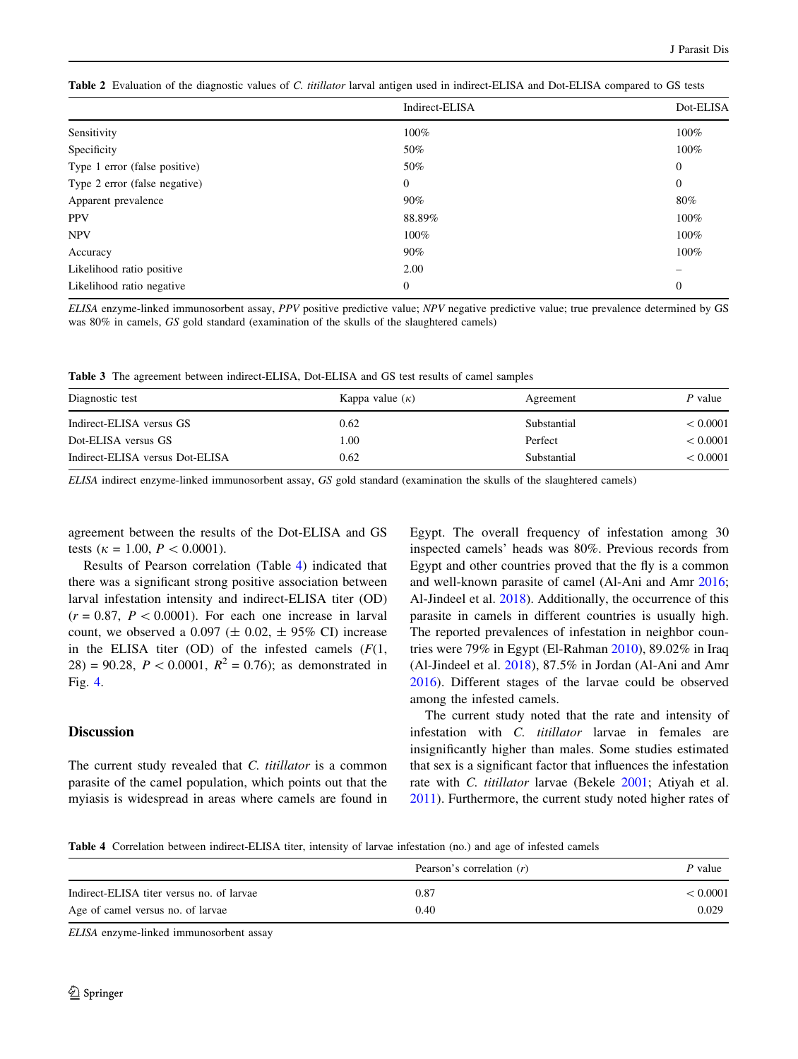<span id="page-5-0"></span>

|  |  | <b>Table 2</b> Evaluation of the diagnostic values of C. <i>titillator</i> larval antigen used in indirect-ELISA and Dot-ELISA compared to GS tests |  |
|--|--|-----------------------------------------------------------------------------------------------------------------------------------------------------|--|
|  |  |                                                                                                                                                     |  |

|                               | Indirect-ELISA | Dot-ELISA      |
|-------------------------------|----------------|----------------|
| Sensitivity                   | 100%           | 100%           |
| Specificity                   | 50%            | 100%           |
| Type 1 error (false positive) | 50%            | $\overline{0}$ |
| Type 2 error (false negative) | $\mathbf{0}$   | $\overline{0}$ |
| Apparent prevalence           | $90\%$         | 80%            |
| <b>PPV</b>                    | 88.89%         | 100%           |
| <b>NPV</b>                    | 100%           | 100%           |
| Accuracy                      | $90\%$         | 100%           |
| Likelihood ratio positive     | 2.00           |                |
| Likelihood ratio negative     | $\mathbf{0}$   | $\overline{0}$ |

ELISA enzyme-linked immunosorbent assay, PPV positive predictive value; NPV negative predictive value; true prevalence determined by GS was 80% in camels, GS gold standard (examination of the skulls of the slaughtered camels)

Table 3 The agreement between indirect-ELISA, Dot-ELISA and GS test results of camel samples

| Diagnostic test                 | Kappa value $(\kappa)$ | Agreement   | P value  |
|---------------------------------|------------------------|-------------|----------|
| Indirect-ELISA versus GS        | 0.62                   | Substantial | < 0.0001 |
| Dot-ELISA versus GS             | 1.00                   | Perfect     | < 0.0001 |
| Indirect-ELISA versus Dot-ELISA | 0.62                   | Substantial | < 0.0001 |

ELISA indirect enzyme-linked immunosorbent assay, GS gold standard (examination the skulls of the slaughtered camels)

agreement between the results of the Dot-ELISA and GS tests ( $\kappa = 1.00, P < 0.0001$ ).

Results of Pearson correlation (Table 4) indicated that there was a significant strong positive association between larval infestation intensity and indirect-ELISA titer (OD)  $(r = 0.87, P < 0.0001)$ . For each one increase in larval count, we observed a 0.097 ( $\pm$  0.02,  $\pm$  95% CI) increase in the ELISA titer (OD) of the infested camels  $(F(1,$ 28) = 90.28,  $P < 0.0001$ ,  $R^2 = 0.76$ ; as demonstrated in Fig. [4](#page-6-0).

## **Discussion**

The current study revealed that C. titillator is a common parasite of the camel population, which points out that the myiasis is widespread in areas where camels are found in Egypt. The overall frequency of infestation among 30 inspected camels' heads was 80%. Previous records from Egypt and other countries proved that the fly is a common and well-known parasite of camel (Al-Ani and Amr [2016](#page-7-0); Al-Jindeel et al. [2018\)](#page-7-0). Additionally, the occurrence of this parasite in camels in different countries is usually high. The reported prevalences of infestation in neighbor countries were 79% in Egypt (El-Rahman [2010](#page-7-0)), 89.02% in Iraq (Al-Jindeel et al. [2018\)](#page-7-0), 87.5% in Jordan (Al-Ani and Amr [2016](#page-7-0)). Different stages of the larvae could be observed among the infested camels.

The current study noted that the rate and intensity of infestation with C. titillator larvae in females are insignificantly higher than males. Some studies estimated that sex is a significant factor that influences the infestation rate with C. titillator larvae (Bekele [2001;](#page-7-0) Atiyah et al. [2011](#page-7-0)). Furthermore, the current study noted higher rates of

Table 4 Correlation between indirect-ELISA titer, intensity of larvae infestation (no.) and age of infested camels

|                                           | Pearson's correlation $(r)$ | P value  |
|-------------------------------------------|-----------------------------|----------|
| Indirect-ELISA titer versus no. of larvae | 0.87                        | < 0.0001 |
| Age of camel versus no. of larvae         | 0.40                        | 0.029    |

ELISA enzyme-linked immunosorbent assay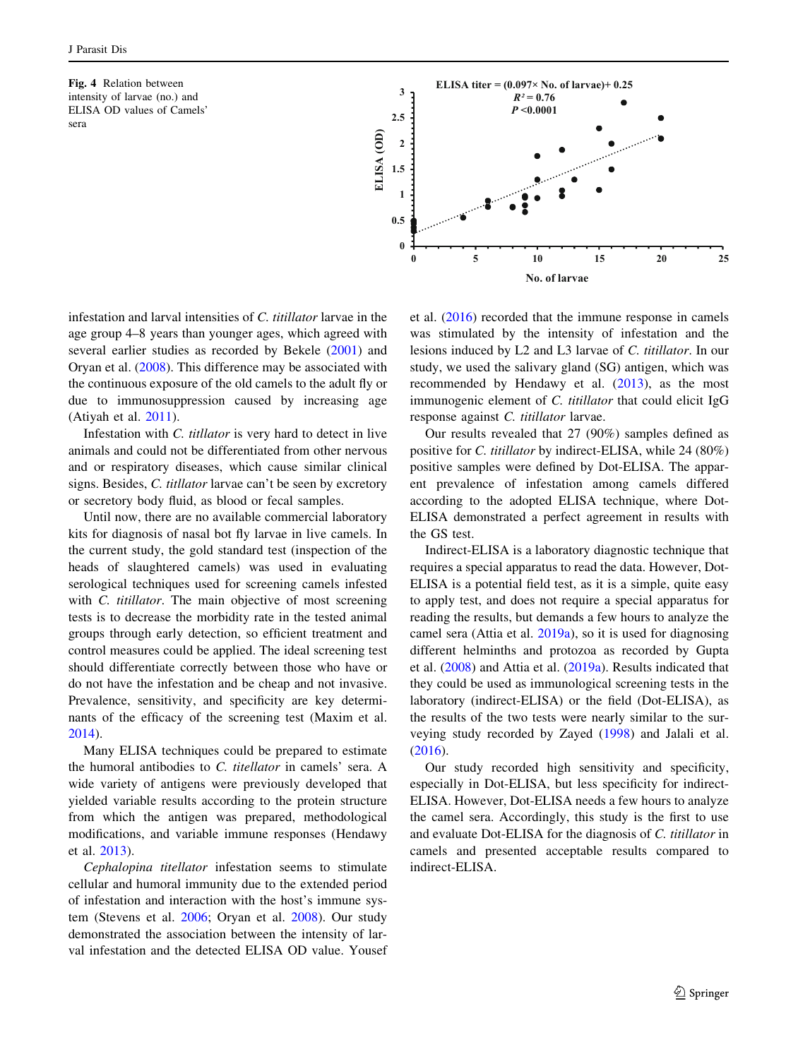<span id="page-6-0"></span>Fig. 4 Relation between intensity of larvae (no.) and ELISA OD values of Camels' sera



infestation and larval intensities of C. titillator larvae in the age group 4–8 years than younger ages, which agreed with several earlier studies as recorded by Bekele [\(2001](#page-7-0)) and Oryan et al. ([2008\)](#page-7-0). This difference may be associated with the continuous exposure of the old camels to the adult fly or due to immunosuppression caused by increasing age (Atiyah et al. [2011\)](#page-7-0).

Infestation with C. titllator is very hard to detect in live animals and could not be differentiated from other nervous and or respiratory diseases, which cause similar clinical signs. Besides, C. titllator larvae can't be seen by excretory or secretory body fluid, as blood or fecal samples.

Until now, there are no available commercial laboratory kits for diagnosis of nasal bot fly larvae in live camels. In the current study, the gold standard test (inspection of the heads of slaughtered camels) was used in evaluating serological techniques used for screening camels infested with *C. titillator*. The main objective of most screening tests is to decrease the morbidity rate in the tested animal groups through early detection, so efficient treatment and control measures could be applied. The ideal screening test should differentiate correctly between those who have or do not have the infestation and be cheap and not invasive. Prevalence, sensitivity, and specificity are key determinants of the efficacy of the screening test (Maxim et al. [2014\)](#page-7-0).

Many ELISA techniques could be prepared to estimate the humoral antibodies to C. titellator in camels' sera. A wide variety of antigens were previously developed that yielded variable results according to the protein structure from which the antigen was prepared, methodological modifications, and variable immune responses (Hendawy et al. [2013\)](#page-7-0).

Cephalopina titellator infestation seems to stimulate cellular and humoral immunity due to the extended period of infestation and interaction with the host's immune system (Stevens et al. [2006](#page-7-0); Oryan et al. [2008](#page-7-0)). Our study demonstrated the association between the intensity of larval infestation and the detected ELISA OD value. Yousef et al. ([2016\)](#page-7-0) recorded that the immune response in camels was stimulated by the intensity of infestation and the lesions induced by L2 and L3 larvae of C. titillator. In our study, we used the salivary gland (SG) antigen, which was recommended by Hendawy et al. ([2013\)](#page-7-0), as the most immunogenic element of C. titillator that could elicit IgG response against C. titillator larvae.

Our results revealed that 27 (90%) samples defined as positive for C. titillator by indirect-ELISA, while 24 (80%) positive samples were defined by Dot-ELISA. The apparent prevalence of infestation among camels differed according to the adopted ELISA technique, where Dot-ELISA demonstrated a perfect agreement in results with the GS test.

Indirect-ELISA is a laboratory diagnostic technique that requires a special apparatus to read the data. However, Dot-ELISA is a potential field test, as it is a simple, quite easy to apply test, and does not require a special apparatus for reading the results, but demands a few hours to analyze the camel sera (Attia et al. [2019a\)](#page-7-0), so it is used for diagnosing different helminths and protozoa as recorded by Gupta et al. [\(2008](#page-7-0)) and Attia et al. [\(2019a\)](#page-7-0). Results indicated that they could be used as immunological screening tests in the laboratory (indirect-ELISA) or the field (Dot-ELISA), as the results of the two tests were nearly similar to the surveying study recorded by Zayed ([1998](#page-8-0)) and Jalali et al. [\(2016](#page-7-0)).

Our study recorded high sensitivity and specificity, especially in Dot-ELISA, but less specificity for indirect-ELISA. However, Dot-ELISA needs a few hours to analyze the camel sera. Accordingly, this study is the first to use and evaluate Dot-ELISA for the diagnosis of C. titillator in camels and presented acceptable results compared to indirect-ELISA.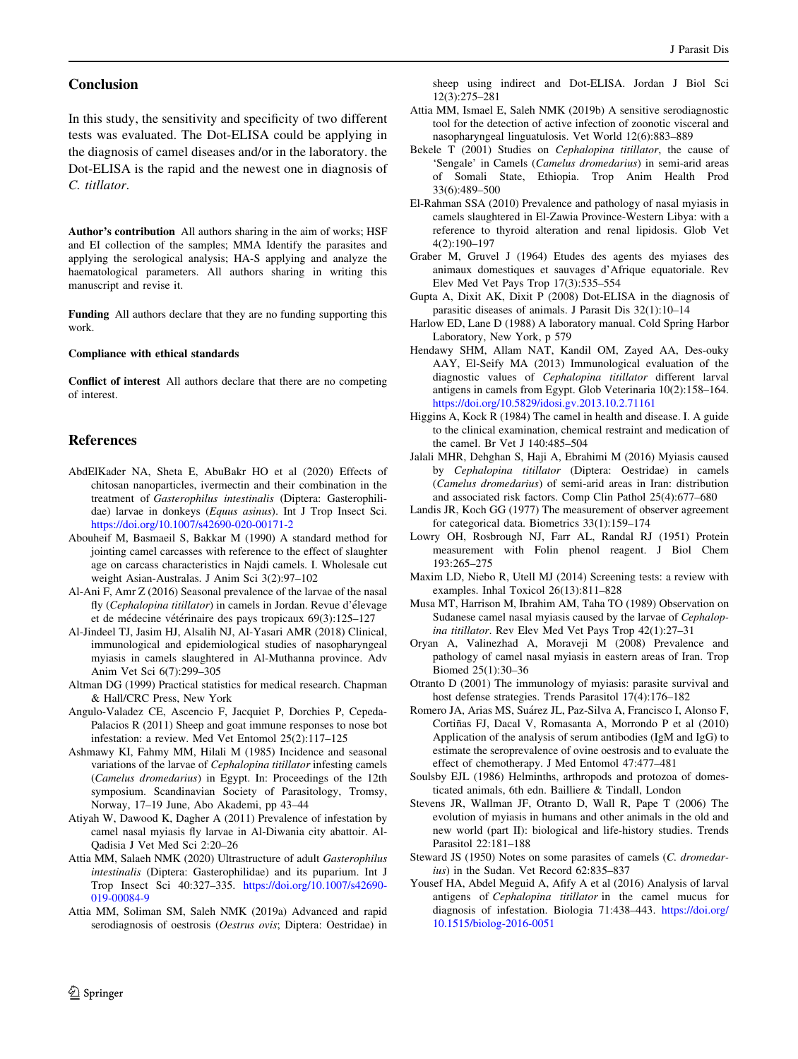#### <span id="page-7-0"></span>Conclusion

In this study, the sensitivity and specificity of two different tests was evaluated. The Dot-ELISA could be applying in the diagnosis of camel diseases and/or in the laboratory. the Dot-ELISA is the rapid and the newest one in diagnosis of C. titllator.

Author's contribution All authors sharing in the aim of works; HSF and EI collection of the samples; MMA Identify the parasites and applying the serological analysis; HA-S applying and analyze the haematological parameters. All authors sharing in writing this manuscript and revise it.

Funding All authors declare that they are no funding supporting this work.

#### Compliance with ethical standards

Conflict of interest All authors declare that there are no competing of interest.

#### References

- AbdElKader NA, Sheta E, AbuBakr HO et al (2020) Effects of chitosan nanoparticles, ivermectin and their combination in the treatment of Gasterophilus intestinalis (Diptera: Gasterophilidae) larvae in donkeys (Equus asinus). Int J Trop Insect Sci. <https://doi.org/10.1007/s42690-020-00171-2>
- Abouheif M, Basmaeil S, Bakkar M (1990) A standard method for jointing camel carcasses with reference to the effect of slaughter age on carcass characteristics in Najdi camels. I. Wholesale cut weight Asian-Australas. J Anim Sci 3(2):97–102
- Al-Ani F, Amr Z (2016) Seasonal prevalence of the larvae of the nasal fly (Cephalopina titillator) in camels in Jordan. Revue d'élevage et de médecine vétérinaire des pays tropicaux 69(3):125–127
- Al-Jindeel TJ, Jasim HJ, Alsalih NJ, Al-Yasari AMR (2018) Clinical, immunological and epidemiological studies of nasopharyngeal myiasis in camels slaughtered in Al-Muthanna province. Adv Anim Vet Sci 6(7):299–305
- Altman DG (1999) Practical statistics for medical research. Chapman & Hall/CRC Press, New York
- Angulo-Valadez CE, Ascencio F, Jacquiet P, Dorchies P, Cepeda-Palacios R (2011) Sheep and goat immune responses to nose bot infestation: a review. Med Vet Entomol 25(2):117–125
- Ashmawy KI, Fahmy MM, Hilali M (1985) Incidence and seasonal variations of the larvae of Cephalopina titillator infesting camels (Camelus dromedarius) in Egypt. In: Proceedings of the 12th symposium. Scandinavian Society of Parasitology, Tromsy, Norway, 17–19 June, Abo Akademi, pp 43–44
- Atiyah W, Dawood K, Dagher A (2011) Prevalence of infestation by camel nasal myiasis fly larvae in Al-Diwania city abattoir. Al-Qadisia J Vet Med Sci 2:20–26
- Attia MM, Salaeh NMK (2020) Ultrastructure of adult Gasterophilus intestinalis (Diptera: Gasterophilidae) and its puparium. Int J Trop Insect Sci 40:327–335. [https://doi.org/10.1007/s42690-](https://doi.org/10.1007/s42690-019-00084-9) [019-00084-9](https://doi.org/10.1007/s42690-019-00084-9)
- Attia MM, Soliman SM, Saleh NMK (2019a) Advanced and rapid serodiagnosis of oestrosis (Oestrus ovis; Diptera: Oestridae) in

sheep using indirect and Dot-ELISA. Jordan J Biol Sci 12(3):275–281

- Attia MM, Ismael E, Saleh NMK (2019b) A sensitive serodiagnostic tool for the detection of active infection of zoonotic visceral and nasopharyngeal linguatulosis. Vet World 12(6):883–889
- Bekele T (2001) Studies on Cephalopina titillator, the cause of 'Sengale' in Camels (Camelus dromedarius) in semi-arid areas of Somali State, Ethiopia. Trop Anim Health Prod 33(6):489–500
- El-Rahman SSA (2010) Prevalence and pathology of nasal myiasis in camels slaughtered in El-Zawia Province-Western Libya: with a reference to thyroid alteration and renal lipidosis. Glob Vet 4(2):190–197
- Graber M, Gruvel J (1964) Etudes des agents des myiases des animaux domestiques et sauvages d'Afrique equatoriale. Rev Elev Med Vet Pays Trop 17(3):535–554
- Gupta A, Dixit AK, Dixit P (2008) Dot-ELISA in the diagnosis of parasitic diseases of animals. J Parasit Dis 32(1):10–14
- Harlow ED, Lane D (1988) A laboratory manual. Cold Spring Harbor Laboratory, New York, p 579
- Hendawy SHM, Allam NAT, Kandil OM, Zayed AA, Des-ouky AAY, El-Seify MA (2013) Immunological evaluation of the diagnostic values of Cephalopina titillator different larval antigens in camels from Egypt. Glob Veterinaria 10(2):158–164. <https://doi.org/10.5829/idosi.gv.2013.10.2.71161>
- Higgins A, Kock R (1984) The camel in health and disease. I. A guide to the clinical examination, chemical restraint and medication of the camel. Br Vet J 140:485–504
- Jalali MHR, Dehghan S, Haji A, Ebrahimi M (2016) Myiasis caused by Cephalopina titillator (Diptera: Oestridae) in camels (Camelus dromedarius) of semi-arid areas in Iran: distribution and associated risk factors. Comp Clin Pathol 25(4):677–680
- Landis JR, Koch GG (1977) The measurement of observer agreement for categorical data. Biometrics 33(1):159–174
- Lowry OH, Rosbrough NJ, Farr AL, Randal RJ (1951) Protein measurement with Folin phenol reagent. J Biol Chem 193:265–275
- Maxim LD, Niebo R, Utell MJ (2014) Screening tests: a review with examples. Inhal Toxicol 26(13):811–828
- Musa MT, Harrison M, Ibrahim AM, Taha TO (1989) Observation on Sudanese camel nasal myiasis caused by the larvae of Cephalopina titillator. Rev Elev Med Vet Pays Trop 42(1):27–31
- Oryan A, Valinezhad A, Moraveji M (2008) Prevalence and pathology of camel nasal myiasis in eastern areas of Iran. Trop Biomed 25(1):30–36
- Otranto D (2001) The immunology of myiasis: parasite survival and host defense strategies. Trends Parasitol 17(4):176–182
- Romero JA, Arias MS, Suárez JL, Paz-Silva A, Francisco I, Alonso F, Cortiñas FJ, Dacal V, Romasanta A, Morrondo P et al (2010) Application of the analysis of serum antibodies (IgM and IgG) to estimate the seroprevalence of ovine oestrosis and to evaluate the effect of chemotherapy. J Med Entomol 47:477–481
- Soulsby EJL (1986) Helminths, arthropods and protozoa of domesticated animals, 6th edn. Bailliere & Tindall, London
- Stevens JR, Wallman JF, Otranto D, Wall R, Pape T (2006) The evolution of myiasis in humans and other animals in the old and new world (part II): biological and life-history studies. Trends Parasitol 22:181–188
- Steward JS (1950) Notes on some parasites of camels (C. dromedarius) in the Sudan. Vet Record 62:835-837
- Yousef HA, Abdel Meguid A, Afify A et al (2016) Analysis of larval antigens of Cephalopina titillator in the camel mucus for diagnosis of infestation. Biologia 71:438–443. [https://doi.org/](https://doi.org/10.1515/biolog-2016-0051) [10.1515/biolog-2016-0051](https://doi.org/10.1515/biolog-2016-0051)